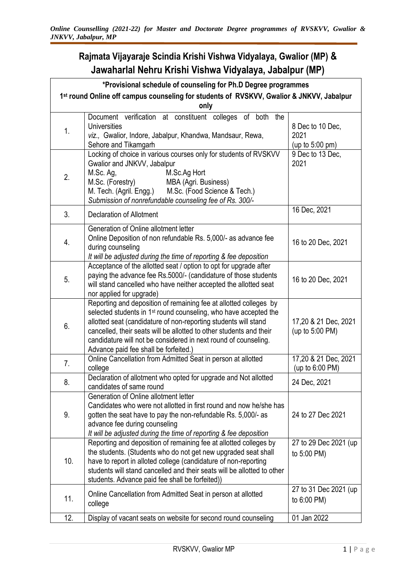## **Rajmata Vijayaraje Scindia Krishi Vishwa Vidyalaya, Gwalior (MP) & Jawaharlal Nehru Krishi Vishwa Vidyalaya, Jabalpur (MP)**

| *Provisional schedule of counseling for Ph.D Degree programmes                                   |                                                                                                                                                                                                                                                                                                                                                                                                         |                                                        |  |  |
|--------------------------------------------------------------------------------------------------|---------------------------------------------------------------------------------------------------------------------------------------------------------------------------------------------------------------------------------------------------------------------------------------------------------------------------------------------------------------------------------------------------------|--------------------------------------------------------|--|--|
| 1st round Online off campus counseling for students of RVSKVV, Gwalior & JNKVV, Jabalpur<br>only |                                                                                                                                                                                                                                                                                                                                                                                                         |                                                        |  |  |
| 1.                                                                                               | Document verification at constituent colleges of both the<br><b>Universities</b><br>viz., Gwalior, Indore, Jabalpur, Khandwa, Mandsaur, Rewa,<br>Sehore and Tikamgarh                                                                                                                                                                                                                                   | 8 Dec to 10 Dec,<br>2021<br>(up to $5:00 \text{ pm}$ ) |  |  |
| 2.                                                                                               | Locking of choice in various courses only for students of RVSKVV<br>Gwalior and JNKVV, Jabalpur<br>M.Sc. Ag,<br>M.Sc.Ag Hort<br>M.Sc. (Forestry)<br>MBA (Agri. Business)<br>M. Tech. (Agril. Engg.)<br>M.Sc. (Food Science & Tech.)<br>Submission of nonrefundable counseling fee of Rs. 300/-                                                                                                          | 9 Dec to 13 Dec,<br>2021                               |  |  |
| 3.                                                                                               | <b>Declaration of Allotment</b>                                                                                                                                                                                                                                                                                                                                                                         | 16 Dec, 2021                                           |  |  |
| 4.                                                                                               | Generation of Online allotment letter<br>Online Deposition of non refundable Rs. 5,000/- as advance fee<br>during counseling<br>It will be adjusted during the time of reporting & fee deposition                                                                                                                                                                                                       | 16 to 20 Dec, 2021                                     |  |  |
| 5.                                                                                               | Acceptance of the allotted seat / option to opt for upgrade after<br>paying the advance fee Rs.5000/- (candidature of those students<br>will stand cancelled who have neither accepted the allotted seat<br>nor applied for upgrade)                                                                                                                                                                    | 16 to 20 Dec, 2021                                     |  |  |
| 6.                                                                                               | Reporting and deposition of remaining fee at allotted colleges by<br>selected students in 1 <sup>st</sup> round counseling, who have accepted the<br>allotted seat (candidature of non-reporting students will stand<br>cancelled, their seats will be allotted to other students and their<br>candidature will not be considered in next round of counseling.<br>Advance paid fee shall be forfeited.) | 17,20 & 21 Dec, 2021<br>(up to 5:00 PM)                |  |  |
| 7.                                                                                               | Online Cancellation from Admitted Seat in person at allotted<br>college                                                                                                                                                                                                                                                                                                                                 | 17,20 & 21 Dec, 2021<br>(up to 6:00 PM)                |  |  |
| 8.                                                                                               | Declaration of allotment who opted for upgrade and Not allotted<br>candidates of same round                                                                                                                                                                                                                                                                                                             | 24 Dec, 2021                                           |  |  |
| 9.                                                                                               | Generation of Online allotment letter<br>Candidates who were not allotted in first round and now he/she has<br>gotten the seat have to pay the non-refundable Rs. 5,000/- as<br>advance fee during counseling<br>It will be adjusted during the time of reporting & fee deposition                                                                                                                      | 24 to 27 Dec 2021                                      |  |  |
| 10.                                                                                              | Reporting and deposition of remaining fee at allotted colleges by<br>the students. (Students who do not get new upgraded seat shall<br>have to report in alloted college (candidature of non-reporting<br>students will stand cancelled and their seats will be allotted to other<br>students. Advance paid fee shall be forfeited))                                                                    | 27 to 29 Dec 2021 (up)<br>to 5:00 PM)                  |  |  |
| 11.                                                                                              | Online Cancellation from Admitted Seat in person at allotted<br>college                                                                                                                                                                                                                                                                                                                                 | 27 to 31 Dec 2021 (up<br>to 6:00 PM)                   |  |  |
| 12.                                                                                              | Display of vacant seats on website for second round counseling                                                                                                                                                                                                                                                                                                                                          | 01 Jan 2022                                            |  |  |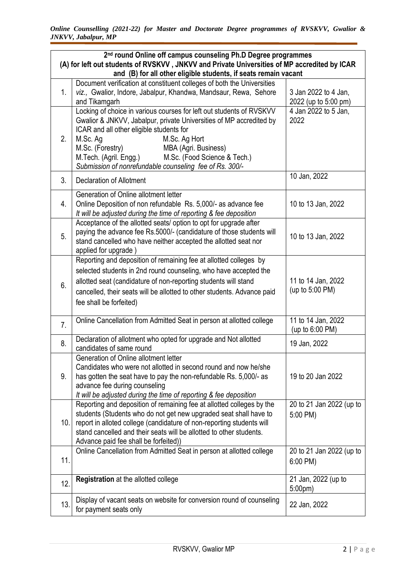| 2 <sup>nd</sup> round Online off campus counseling Ph.D Degree programmes<br>(A) for left out students of RVSKVV, JNKVV and Private Universities of MP accredited by ICAR<br>and (B) for all other eligible students, if seats remain vacant |                                                                                                                                                                                                                                                                                                                                                                                       |                                              |  |  |
|----------------------------------------------------------------------------------------------------------------------------------------------------------------------------------------------------------------------------------------------|---------------------------------------------------------------------------------------------------------------------------------------------------------------------------------------------------------------------------------------------------------------------------------------------------------------------------------------------------------------------------------------|----------------------------------------------|--|--|
|                                                                                                                                                                                                                                              |                                                                                                                                                                                                                                                                                                                                                                                       |                                              |  |  |
| 1.                                                                                                                                                                                                                                           | Document verification at constituent colleges of both the Universities<br>viz., Gwalior, Indore, Jabalpur, Khandwa, Mandsaur, Rewa, Sehore<br>and Tikamgarh                                                                                                                                                                                                                           | 3 Jan 2022 to 4 Jan,<br>2022 (up to 5:00 pm) |  |  |
| 2.                                                                                                                                                                                                                                           | Locking of choice in various courses for left out students of RVSKVV<br>Gwalior & JNKVV, Jabalpur, private Universities of MP accredited by<br>ICAR and all other eligible students for<br>M.Sc. Ag<br>M.Sc. Ag Hort<br>M.Sc. (Forestry)<br>MBA (Agri. Business)<br>M.Tech. (Agril. Engg.)<br>M.Sc. (Food Science & Tech.)<br>Submission of nonrefundable counseling fee of Rs. 300/- | 4 Jan 2022 to 5 Jan,<br>2022                 |  |  |
| 3.                                                                                                                                                                                                                                           | <b>Declaration of Allotment</b>                                                                                                                                                                                                                                                                                                                                                       | 10 Jan, 2022                                 |  |  |
| 4.                                                                                                                                                                                                                                           | Generation of Online allotment letter<br>Online Deposition of non refundable Rs. 5,000/- as advance fee<br>It will be adjusted during the time of reporting & fee deposition                                                                                                                                                                                                          | 10 to 13 Jan, 2022                           |  |  |
| 5.                                                                                                                                                                                                                                           | Acceptance of the allotted seats/ option to opt for upgrade after<br>paying the advance fee Rs.5000/- (candidature of those students will<br>stand cancelled who have neither accepted the allotted seat nor<br>applied for upgrade)                                                                                                                                                  | 10 to 13 Jan, 2022                           |  |  |
| 6.                                                                                                                                                                                                                                           | Reporting and deposition of remaining fee at allotted colleges by<br>selected students in 2nd round counseling, who have accepted the<br>allotted seat (candidature of non-reporting students will stand<br>cancelled, their seats will be allotted to other students. Advance paid<br>fee shall be forfeited)                                                                        | 11 to 14 Jan, 2022<br>(up to 5:00 PM)        |  |  |
| $\overline{7}$ .                                                                                                                                                                                                                             | Online Cancellation from Admitted Seat in person at allotted college                                                                                                                                                                                                                                                                                                                  | 11 to 14 Jan, 2022<br>(up to 6:00 PM)        |  |  |
| 8.                                                                                                                                                                                                                                           | Declaration of allotment who opted for upgrade and Not allotted<br>candidates of same round                                                                                                                                                                                                                                                                                           | 19 Jan, 2022                                 |  |  |
| 9.                                                                                                                                                                                                                                           | Generation of Online allotment letter<br>Candidates who were not allotted in second round and now he/she<br>has gotten the seat have to pay the non-refundable Rs. 5,000/- as<br>advance fee during counseling<br>It will be adjusted during the time of reporting & fee deposition                                                                                                   | 19 to 20 Jan 2022                            |  |  |
| 10.                                                                                                                                                                                                                                          | Reporting and deposition of remaining fee at allotted colleges by the<br>students (Students who do not get new upgraded seat shall have to<br>report in alloted college (candidature of non-reporting students will<br>stand cancelled and their seats will be allotted to other students.<br>Advance paid fee shall be forfeited))                                                   | 20 to 21 Jan 2022 (up to<br>5:00 PM)         |  |  |
| 11.                                                                                                                                                                                                                                          | Online Cancellation from Admitted Seat in person at allotted college                                                                                                                                                                                                                                                                                                                  | 20 to 21 Jan 2022 (up to<br>$6:00$ PM)       |  |  |
| 12.                                                                                                                                                                                                                                          | Registration at the allotted college                                                                                                                                                                                                                                                                                                                                                  | 21 Jan, 2022 (up to<br>5:00pm)               |  |  |
| 13.                                                                                                                                                                                                                                          | Display of vacant seats on website for conversion round of counseling<br>for payment seats only                                                                                                                                                                                                                                                                                       | 22 Jan, 2022                                 |  |  |